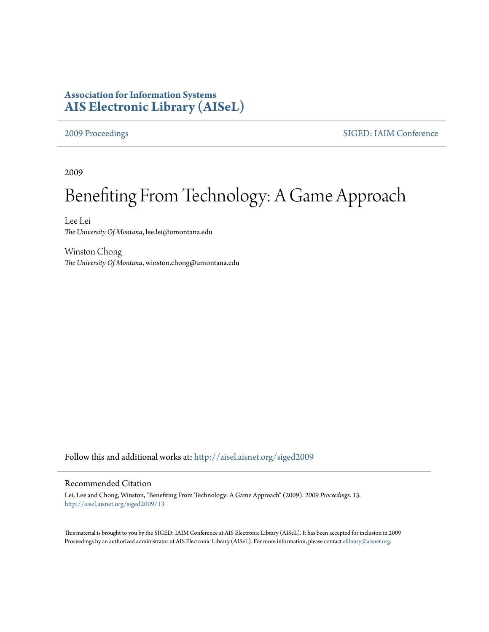## **Association for Information Systems [AIS Electronic Library \(AISeL\)](http://aisel.aisnet.org?utm_source=aisel.aisnet.org%2Fsiged2009%2F13&utm_medium=PDF&utm_campaign=PDFCoverPages)**

[2009 Proceedings](http://aisel.aisnet.org/siged2009?utm_source=aisel.aisnet.org%2Fsiged2009%2F13&utm_medium=PDF&utm_campaign=PDFCoverPages) [SIGED: IAIM Conference](http://aisel.aisnet.org/siged?utm_source=aisel.aisnet.org%2Fsiged2009%2F13&utm_medium=PDF&utm_campaign=PDFCoverPages)

2009

# Benefiting From Technology: A Game Approach

Lee Lei *The University Of Montana*, lee.lei@umontana.edu

Winston Chong *The University Of Montana*, winston.chong@umontana.edu

Follow this and additional works at: [http://aisel.aisnet.org/siged2009](http://aisel.aisnet.org/siged2009?utm_source=aisel.aisnet.org%2Fsiged2009%2F13&utm_medium=PDF&utm_campaign=PDFCoverPages)

#### Recommended Citation

Lei, Lee and Chong, Winston, "Benefiting From Technology: A Game Approach" (2009). *2009 Proceedings*. 13. [http://aisel.aisnet.org/siged2009/13](http://aisel.aisnet.org/siged2009/13?utm_source=aisel.aisnet.org%2Fsiged2009%2F13&utm_medium=PDF&utm_campaign=PDFCoverPages)

This material is brought to you by the SIGED: IAIM Conference at AIS Electronic Library (AISeL). It has been accepted for inclusion in 2009 Proceedings by an authorized administrator of AIS Electronic Library (AISeL). For more information, please contact [elibrary@aisnet.org](mailto:elibrary@aisnet.org%3E).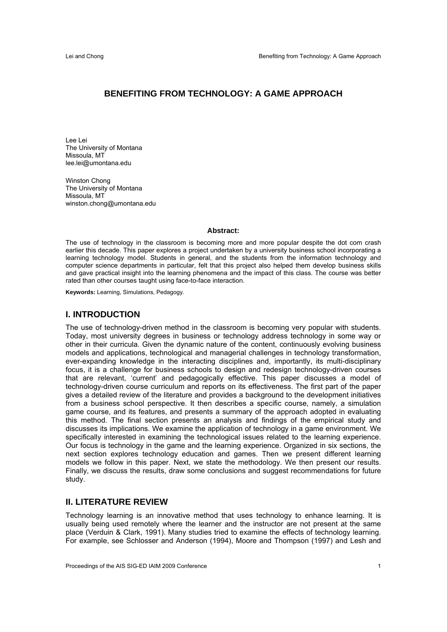### **BENEFITING FROM TECHNOLOGY: A GAME APPROACH**

Lee Lei The University of Montana Missoula, MT lee.lei@umontana.edu

Winston Chong The University of Montana Missoula, MT winston.chong@umontana.edu

#### **Abstract:**

The use of technology in the classroom is becoming more and more popular despite the dot com crash earlier this decade. This paper explores a project undertaken by a university business school incorporating a learning technology model. Students in general, and the students from the information technology and computer science departments in particular, felt that this project also helped them develop business skills and gave practical insight into the learning phenomena and the impact of this class. The course was better rated than other courses taught using face-to-face interaction.

**Keywords:** Learning, Simulations, Pedagogy.

#### **I. INTRODUCTION**

The use of technology-driven method in the classroom is becoming very popular with students. Today, most university degrees in business or technology address technology in some way or other in their curricula. Given the dynamic nature of the content, continuously evolving business models and applications, technological and managerial challenges in technology transformation, ever-expanding knowledge in the interacting disciplines and, importantly, its multi-disciplinary focus, it is a challenge for business schools to design and redesign technology-driven courses that are relevant, 'current' and pedagogically effective. This paper discusses a model of technology-driven course curriculum and reports on its effectiveness. The first part of the paper gives a detailed review of the literature and provides a background to the development initiatives from a business school perspective. It then describes a specific course, namely, a simulation game course, and its features, and presents a summary of the approach adopted in evaluating this method. The final section presents an analysis and findings of the empirical study and discusses its implications. We examine the application of technology in a game environment. We specifically interested in examining the technological issues related to the learning experience. Our focus is technology in the game and the learning experience. Organized in six sections, the next section explores technology education and games. Then we present different learning models we follow in this paper. Next, we state the methodology. We then present our results. Finally, we discuss the results, draw some conclusions and suggest recommendations for future study.

#### **II. LITERATURE REVIEW**

Technology learning is an innovative method that uses technology to enhance learning. It is usually being used remotely where the learner and the instructor are not present at the same place (Verduin & Clark, 1991). Many studies tried to examine the effects of technology learning. For example, see Schlosser and Anderson (1994), Moore and Thompson (1997) and Lesh and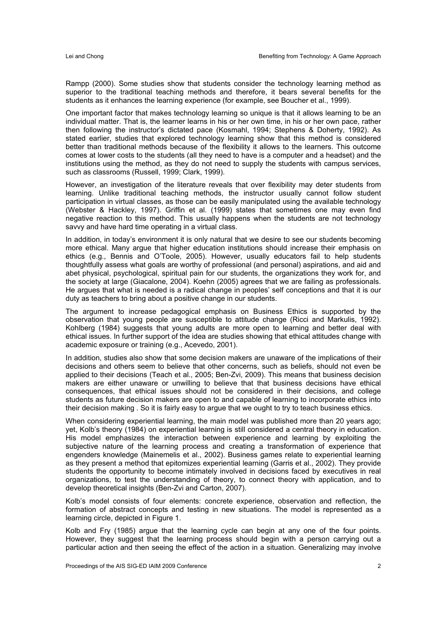Rampp (2000). Some studies show that students consider the technology learning method as superior to the traditional teaching methods and therefore, it bears several benefits for the students as it enhances the learning experience (for example, see Boucher et al., 1999).

One important factor that makes technology learning so unique is that it allows learning to be an individual matter. That is, the learner learns in his or her own time, in his or her own pace, rather then following the instructor's dictated pace (Kosmahl, 1994; Stephens & Doherty, 1992). As stated earlier, studies that explored technology learning show that this method is considered better than traditional methods because of the flexibility it allows to the learners. This outcome comes at lower costs to the students (all they need to have is a computer and a headset) and the institutions using the method, as they do not need to supply the students with campus services, such as classrooms (Russell, 1999; Clark, 1999).

However, an investigation of the literature reveals that over flexibility may deter students from learning. Unlike traditional teaching methods, the instructor usually cannot follow student participation in virtual classes, as those can be easily manipulated using the available technology (Webster & Hackley, 1997). Griffin et al. (1999) states that sometimes one may even find negative reaction to this method. This usually happens when the students are not technology savvy and have hard time operating in a virtual class.

In addition, in today's environment it is only natural that we desire to see our students becoming more ethical. Many argue that higher education institutions should increase their emphasis on ethics (e.g., Bennis and O'Toole, 2005). However, usually educators fail to help students thoughtfully assess what goals are worthy of professional (and personal) aspirations, and aid and abet physical, psychological, spiritual pain for our students, the organizations they work for, and the society at large (Giacalone, 2004). Koehn (2005) agrees that we are failing as professionals. He argues that what is needed is a radical change in peoples' self conceptions and that it is our duty as teachers to bring about a positive change in our students.

The argument to increase pedagogical emphasis on Business Ethics is supported by the observation that young people are susceptible to attitude change (Ricci and Markulis, 1992). Kohlberg (1984) suggests that young adults are more open to learning and better deal with ethical issues. In further support of the idea are studies showing that ethical attitudes change with academic exposure or training (e.g., Acevedo, 2001).

In addition, studies also show that some decision makers are unaware of the implications of their decisions and others seem to believe that other concerns, such as beliefs, should not even be applied to their decisions (Teach et al., 2005; Ben-Zvi, 2009). This means that business decision makers are either unaware or unwilling to believe that that business decisions have ethical consequences, that ethical issues should not be considered in their decisions, and college students as future decision makers are open to and capable of learning to incorporate ethics into their decision making . So it is fairly easy to argue that we ought to try to teach business ethics.

When considering experiential learning, the main model was published more than 20 years ago; yet, Kolb's theory (1984) on experiential learning is still considered a central theory in education. His model emphasizes the interaction between experience and learning by exploiting the subjective nature of the learning process and creating a transformation of experience that engenders knowledge (Mainemelis et al., 2002). Business games relate to experiential learning as they present a method that epitomizes experiential learning (Garris et al., 2002). They provide students the opportunity to become intimately involved in decisions faced by executives in real organizations, to test the understanding of theory, to connect theory with application, and to develop theoretical insights (Ben-Zvi and Carton, 2007).

Kolb's model consists of four elements: concrete experience, observation and reflection, the formation of abstract concepts and testing in new situations. The model is represented as a learning circle, depicted in Figure 1.

Kolb and Fry (1985) argue that the learning cycle can begin at any one of the four points. However, they suggest that the learning process should begin with a person carrying out a particular action and then seeing the effect of the action in a situation. Generalizing may involve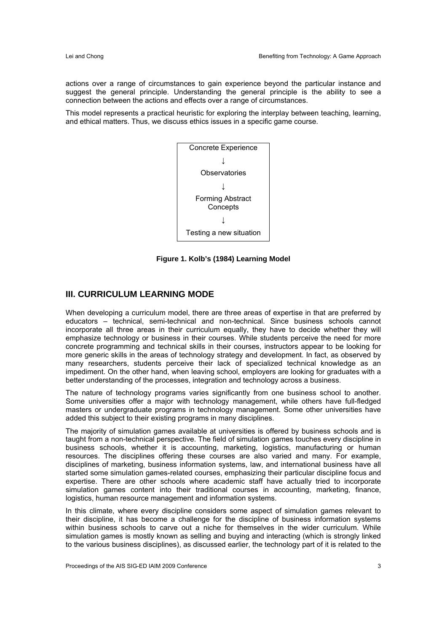actions over a range of circumstances to gain experience beyond the particular instance and suggest the general principle. Understanding the general principle is the ability to see a connection between the actions and effects over a range of circumstances.

This model represents a practical heuristic for exploring the interplay between teaching, learning, and ethical matters. Thus, we discuss ethics issues in a specific game course.



**Figure 1. Kolb's (1984) Learning Model** 

#### **III. CURRICULUM LEARNING MODE**

When developing a curriculum model, there are three areas of expertise in that are preferred by educators – technical, semi-technical and non-technical. Since business schools cannot incorporate all three areas in their curriculum equally, they have to decide whether they will emphasize technology or business in their courses. While students perceive the need for more concrete programming and technical skills in their courses, instructors appear to be looking for more generic skills in the areas of technology strategy and development. In fact, as observed by many researchers, students perceive their lack of specialized technical knowledge as an impediment. On the other hand, when leaving school, employers are looking for graduates with a better understanding of the processes, integration and technology across a business.

The nature of technology programs varies significantly from one business school to another. Some universities offer a major with technology management, while others have full-fledged masters or undergraduate programs in technology management. Some other universities have added this subject to their existing programs in many disciplines.

The majority of simulation games available at universities is offered by business schools and is taught from a non-technical perspective. The field of simulation games touches every discipline in business schools, whether it is accounting, marketing, logistics, manufacturing or human resources. The disciplines offering these courses are also varied and many. For example, disciplines of marketing, business information systems, law, and international business have all started some simulation games-related courses, emphasizing their particular discipline focus and expertise. There are other schools where academic staff have actually tried to incorporate simulation games content into their traditional courses in accounting, marketing, finance, logistics, human resource management and information systems.

In this climate, where every discipline considers some aspect of simulation games relevant to their discipline, it has become a challenge for the discipline of business information systems within business schools to carve out a niche for themselves in the wider curriculum. While simulation games is mostly known as selling and buying and interacting (which is strongly linked to the various business disciplines), as discussed earlier, the technology part of it is related to the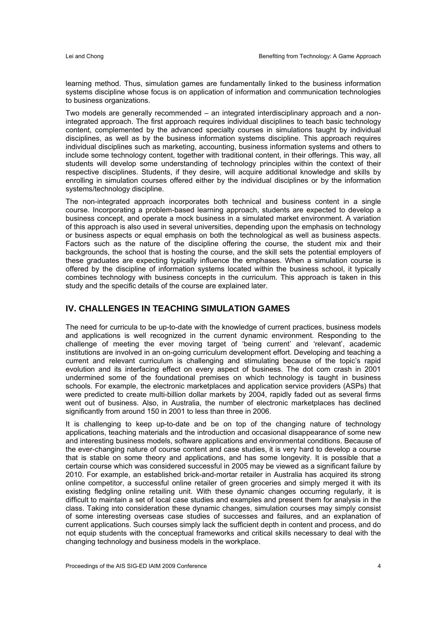learning method. Thus, simulation games are fundamentally linked to the business information systems discipline whose focus is on application of information and communication technologies to business organizations.

Two models are generally recommended – an integrated interdisciplinary approach and a nonintegrated approach. The first approach requires individual disciplines to teach basic technology content, complemented by the advanced specialty courses in simulations taught by individual disciplines, as well as by the business information systems discipline. This approach requires individual disciplines such as marketing, accounting, business information systems and others to include some technology content, together with traditional content, in their offerings. This way, all students will develop some understanding of technology principles within the context of their respective disciplines. Students, if they desire, will acquire additional knowledge and skills by enrolling in simulation courses offered either by the individual disciplines or by the information systems/technology discipline.

The non-integrated approach incorporates both technical and business content in a single course. Incorporating a problem-based learning approach, students are expected to develop a business concept, and operate a mock business in a simulated market environment. A variation of this approach is also used in several universities, depending upon the emphasis on technology or business aspects or equal emphasis on both the technological as well as business aspects. Factors such as the nature of the discipline offering the course, the student mix and their backgrounds, the school that is hosting the course, and the skill sets the potential employers of these graduates are expecting typically influence the emphases. When a simulation course is offered by the discipline of information systems located within the business school, it typically combines technology with business concepts in the curriculum. This approach is taken in this study and the specific details of the course are explained later.

#### **IV. CHALLENGES IN TEACHING SIMULATION GAMES**

The need for curricula to be up-to-date with the knowledge of current practices, business models and applications is well recognized in the current dynamic environment. Responding to the challenge of meeting the ever moving target of 'being current' and 'relevant', academic institutions are involved in an on-going curriculum development effort. Developing and teaching a current and relevant curriculum is challenging and stimulating because of the topic's rapid evolution and its interfacing effect on every aspect of business. The dot com crash in 2001 undermined some of the foundational premises on which technology is taught in business schools. For example, the electronic marketplaces and application service providers (ASPs) that were predicted to create multi-billion dollar markets by 2004, rapidly faded out as several firms went out of business. Also, in Australia, the number of electronic marketplaces has declined significantly from around 150 in 2001 to less than three in 2006.

It is challenging to keep up-to-date and be on top of the changing nature of technology applications, teaching materials and the introduction and occasional disappearance of some new and interesting business models, software applications and environmental conditions. Because of the ever-changing nature of course content and case studies, it is very hard to develop a course that is stable on some theory and applications, and has some longevity. It is possible that a certain course which was considered successful in 2005 may be viewed as a significant failure by 2010. For example, an established brick-and-mortar retailer in Australia has acquired its strong online competitor, a successful online retailer of green groceries and simply merged it with its existing fledgling online retailing unit. With these dynamic changes occurring regularly, it is difficult to maintain a set of local case studies and examples and present them for analysis in the class. Taking into consideration these dynamic changes, simulation courses may simply consist of some interesting overseas case studies of successes and failures, and an explanation of current applications. Such courses simply lack the sufficient depth in content and process, and do not equip students with the conceptual frameworks and critical skills necessary to deal with the changing technology and business models in the workplace.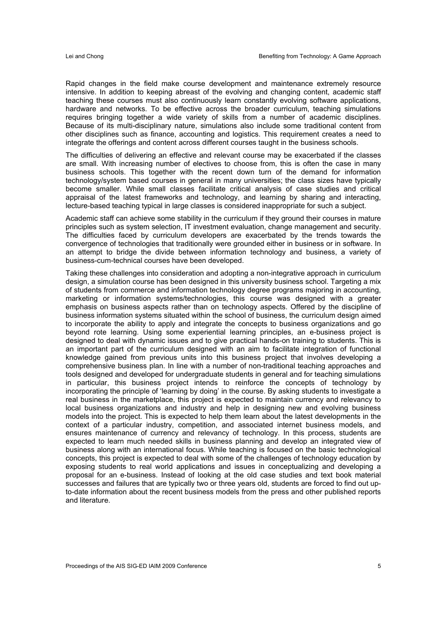Rapid changes in the field make course development and maintenance extremely resource intensive. In addition to keeping abreast of the evolving and changing content, academic staff teaching these courses must also continuously learn constantly evolving software applications, hardware and networks. To be effective across the broader curriculum, teaching simulations requires bringing together a wide variety of skills from a number of academic disciplines. Because of its multi-disciplinary nature, simulations also include some traditional content from other disciplines such as finance, accounting and logistics. This requirement creates a need to integrate the offerings and content across different courses taught in the business schools.

The difficulties of delivering an effective and relevant course may be exacerbated if the classes are small. With increasing number of electives to choose from, this is often the case in many business schools. This together with the recent down turn of the demand for information technology/system based courses in general in many universities; the class sizes have typically become smaller. While small classes facilitate critical analysis of case studies and critical appraisal of the latest frameworks and technology, and learning by sharing and interacting, lecture-based teaching typical in large classes is considered inappropriate for such a subject.

Academic staff can achieve some stability in the curriculum if they ground their courses in mature principles such as system selection, IT investment evaluation, change management and security. The difficulties faced by curriculum developers are exacerbated by the trends towards the convergence of technologies that traditionally were grounded either in business or in software. In an attempt to bridge the divide between information technology and business, a variety of business-cum-technical courses have been developed.

Taking these challenges into consideration and adopting a non-integrative approach in curriculum design, a simulation course has been designed in this university business school. Targeting a mix of students from commerce and information technology degree programs majoring in accounting, marketing or information systems/technologies, this course was designed with a greater emphasis on business aspects rather than on technology aspects. Offered by the discipline of business information systems situated within the school of business, the curriculum design aimed to incorporate the ability to apply and integrate the concepts to business organizations and go beyond rote learning. Using some experiential learning principles, an e-business project is designed to deal with dynamic issues and to give practical hands-on training to students. This is an important part of the curriculum designed with an aim to facilitate integration of functional knowledge gained from previous units into this business project that involves developing a comprehensive business plan. In line with a number of non-traditional teaching approaches and tools designed and developed for undergraduate students in general and for teaching simulations in particular, this business project intends to reinforce the concepts of technology by incorporating the principle of 'learning by doing' in the course. By asking students to investigate a real business in the marketplace, this project is expected to maintain currency and relevancy to local business organizations and industry and help in designing new and evolving business models into the project. This is expected to help them learn about the latest developments in the context of a particular industry, competition, and associated internet business models, and ensures maintenance of currency and relevancy of technology. In this process, students are expected to learn much needed skills in business planning and develop an integrated view of business along with an international focus. While teaching is focused on the basic technological concepts, this project is expected to deal with some of the challenges of technology education by exposing students to real world applications and issues in conceptualizing and developing a proposal for an e-business. Instead of looking at the old case studies and text book material successes and failures that are typically two or three years old, students are forced to find out upto-date information about the recent business models from the press and other published reports and literature.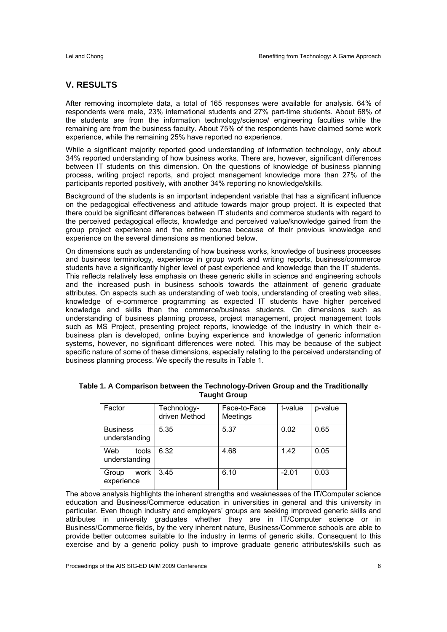#### **V. RESULTS**

After removing incomplete data, a total of 165 responses were available for analysis. 64% of respondents were male, 23% international students and 27% part-time students. About 68% of the students are from the information technology/science/ engineering faculties while the remaining are from the business faculty. About 75% of the respondents have claimed some work experience, while the remaining 25% have reported no experience.

While a significant majority reported good understanding of information technology, only about 34% reported understanding of how business works. There are, however, significant differences between IT students on this dimension. On the questions of knowledge of business planning process, writing project reports, and project management knowledge more than 27% of the participants reported positively, with another 34% reporting no knowledge/skills.

Background of the students is an important independent variable that has a significant influence on the pedagogical effectiveness and attitude towards major group project. It is expected that there could be significant differences between IT students and commerce students with regard to the perceived pedagogical effects, knowledge and perceived value/knowledge gained from the group project experience and the entire course because of their previous knowledge and experience on the several dimensions as mentioned below.

On dimensions such as understanding of how business works, knowledge of business processes and business terminology, experience in group work and writing reports, business/commerce students have a significantly higher level of past experience and knowledge than the IT students. This reflects relatively less emphasis on these generic skills in science and engineering schools and the increased push in business schools towards the attainment of generic graduate attributes. On aspects such as understanding of web tools, understanding of creating web sites, knowledge of e-commerce programming as expected IT students have higher perceived knowledge and skills than the commerce/business students. On dimensions such as understanding of business planning process, project management, project management tools such as MS Project, presenting project reports, knowledge of the industry in which their ebusiness plan is developed, online buying experience and knowledge of generic information systems, however, no significant differences were noted. This may be because of the subject specific nature of some of these dimensions, especially relating to the perceived understanding of business planning process. We specify the results in Table 1.

| Factor                           | Technology-<br>driven Method | Face-to-Face<br>Meetings | t-value | p-value |
|----------------------------------|------------------------------|--------------------------|---------|---------|
| <b>Business</b><br>understanding | 5.35                         | 5.37                     | 0.02    | 0.65    |
| Web<br>tools<br>understanding    | 6.32                         | 4.68                     | 1.42    | 0.05    |
| work<br>Group<br>experience      | 3.45                         | 6.10                     | $-2.01$ | 0.03    |

**Table 1. A Comparison between the Technology-Driven Group and the Traditionally Taught Group** 

The above analysis highlights the inherent strengths and weaknesses of the IT/Computer science education and Business/Commerce education in universities in general and this university in particular. Even though industry and employers' groups are seeking improved generic skills and attributes in university graduates whether they are in IT/Computer science or in Business/Commerce fields, by the very inherent nature, Business/Commerce schools are able to provide better outcomes suitable to the industry in terms of generic skills. Consequent to this exercise and by a generic policy push to improve graduate generic attributes/skills such as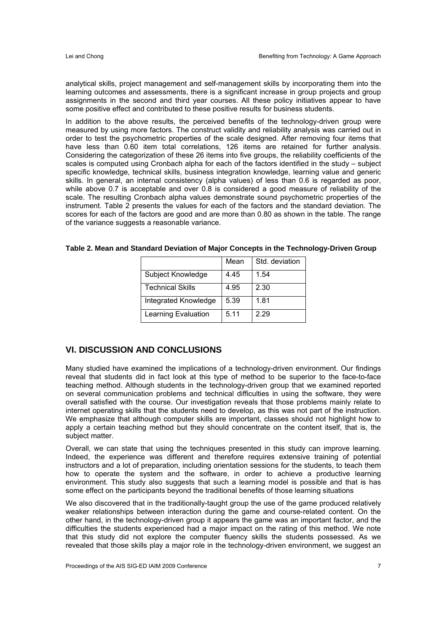analytical skills, project management and self-management skills by incorporating them into the learning outcomes and assessments, there is a significant increase in group projects and group assignments in the second and third year courses. All these policy initiatives appear to have some positive effect and contributed to these positive results for business students.

In addition to the above results, the perceived benefits of the technology-driven group were measured by using more factors. The construct validity and reliability analysis was carried out in order to test the psychometric properties of the scale designed. After removing four items that have less than 0.60 item total correlations, 126 items are retained for further analysis. Considering the categorization of these 26 items into five groups, the reliability coefficients of the scales is computed using Cronbach alpha for each of the factors identified in the study – subject specific knowledge, technical skills, business integration knowledge, learning value and generic skills. In general, an internal consistency (alpha values) of less than 0.6 is regarded as poor, while above 0.7 is acceptable and over 0.8 is considered a good measure of reliability of the scale. The resulting Cronbach alpha values demonstrate sound psychometric properties of the instrument. Table 2 presents the values for each of the factors and the standard deviation. The scores for each of the factors are good and are more than 0.80 as shown in the table. The range of the variance suggests a reasonable variance.

|                         | Mean | Std. deviation |
|-------------------------|------|----------------|
| Subject Knowledge       | 4.45 | 1.54           |
| <b>Technical Skills</b> | 4.95 | 2.30           |
| Integrated Knowledge    | 5.39 | 1.81           |
| Learning Evaluation     | 5.11 | 2.29           |

**Table 2. Mean and Standard Deviation of Major Concepts in the Technology-Driven Group** 

#### **VI. DISCUSSION AND CONCLUSIONS**

Many studied have examined the implications of a technology-driven environment. Our findings reveal that students did in fact look at this type of method to be superior to the face-to-face teaching method. Although students in the technology-driven group that we examined reported on several communication problems and technical difficulties in using the software, they were overall satisfied with the course. Our investigation reveals that those problems mainly relate to internet operating skills that the students need to develop, as this was not part of the instruction. We emphasize that although computer skills are important, classes should not highlight how to apply a certain teaching method but they should concentrate on the content itself, that is, the subject matter.

Overall, we can state that using the techniques presented in this study can improve learning. Indeed, the experience was different and therefore requires extensive training of potential instructors and a lot of preparation, including orientation sessions for the students, to teach them how to operate the system and the software, in order to achieve a productive learning environment. This study also suggests that such a learning model is possible and that is has some effect on the participants beyond the traditional benefits of those learning situations

We also discovered that in the traditionally-taught group the use of the game produced relatively weaker relationships between interaction during the game and course-related content. On the other hand, in the technology-driven group it appears the game was an important factor, and the difficulties the students experienced had a major impact on the rating of this method. We note that this study did not explore the computer fluency skills the students possessed. As we revealed that those skills play a major role in the technology-driven environment, we suggest an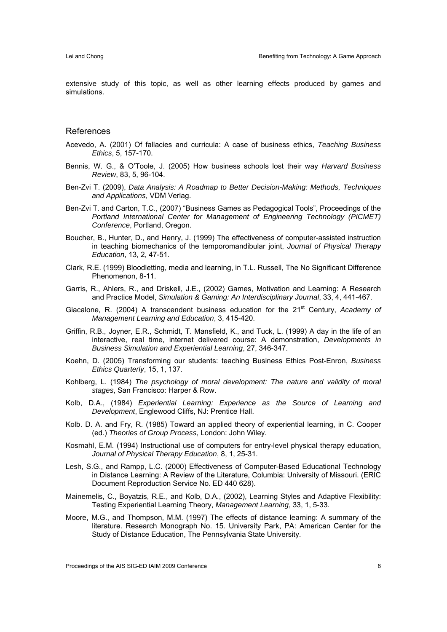extensive study of this topic, as well as other learning effects produced by games and simulations.

#### References

- Acevedo, A. (2001) Of fallacies and curricula: A case of business ethics, *Teaching Business Ethics*, 5, 157-170.
- Bennis, W. G., & O'Toole, J. (2005) How business schools lost their way *Harvard Business Review*, 83, 5, 96-104.
- Ben-Zvi T. (2009), *Data Analysis: A Roadmap to Better Decision-Making: Methods, Techniques and Applications*, VDM Verlag.
- Ben-Zvi T. and Carton, T.C., (2007) "Business Games as Pedagogical Tools", Proceedings of the *Portland International Center for Management of Engineering Technology (PICMET) Conference*, Portland, Oregon.
- Boucher, B., Hunter, D., and Henry, J. (1999) The effectiveness of computer-assisted instruction in teaching biomechanics of the temporomandibular joint, *Journal of Physical Therapy Education*, 13, 2, 47-51.
- Clark, R.E. (1999) Bloodletting, media and learning, in T.L. Russell, The No Significant Difference Phenomenon, 8-11.
- Garris, R., Ahlers, R., and Driskell, J.E., (2002) Games, Motivation and Learning: A Research and Practice Model, *Simulation & Gaming: An Interdisciplinary Journal*, 33, 4, 441-467.
- Giacalone, R. (2004) A transcendent business education for the 21st Century, *Academy of Management Learning and Education*, 3, 415-420.
- Griffin, R.B., Joyner, E.R., Schmidt, T. Mansfield, K., and Tuck, L. (1999) A day in the life of an interactive, real time, internet delivered course: A demonstration, *Developments in Business Simulation and Experiential Learning*, 27, 346-347.
- Koehn, D. (2005) Transforming our students: teaching Business Ethics Post-Enron, *Business Ethics Quarterly*, 15, 1, 137.
- Kohlberg, L. (1984) *The psychology of moral development: The nature and validity of moral stages*, San Francisco: Harper & Row.
- Kolb, D.A., (1984) *Experiential Learning: Experience as the Source of Learning and Development*, Englewood Cliffs, NJ: Prentice Hall.
- Kolb. D. A. and Fry, R. (1985) Toward an applied theory of experiential learning, in C. Cooper (ed.) *Theories of Group Process*, London: John Wiley.
- Kosmahl, E.M. (1994) Instructional use of computers for entry-level physical therapy education, *Journal of Physical Therapy Education*, 8, 1, 25-31.
- Lesh, S.G., and Rampp, L.C. (2000) Effectiveness of Computer-Based Educational Technology in Distance Learning: A Review of the Literature, Columbia: University of Missouri. (ERIC Document Reproduction Service No. ED 440 628).
- Mainemelis, C., Boyatzis, R.E., and Kolb, D.A., (2002), Learning Styles and Adaptive Flexibility: Testing Experiential Learning Theory, *Management Learning*, 33, 1, 5-33.
- Moore, M.G., and Thompson, M.M. (1997) The effects of distance learning: A summary of the literature. Research Monograph No. 15. University Park, PA: American Center for the Study of Distance Education, The Pennsylvania State University.